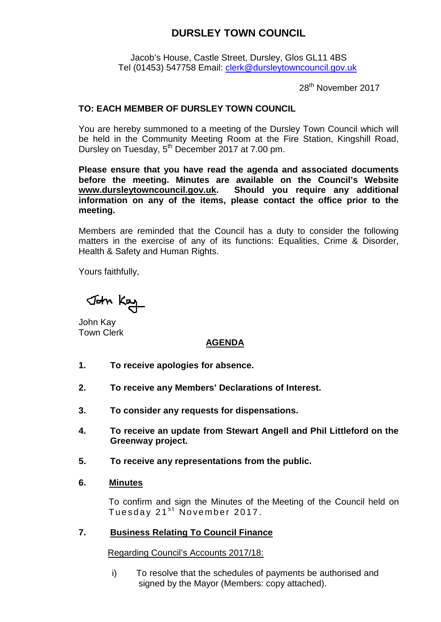# **DURSLEY TOWN COUNCIL**

Jacob's House, Castle Street, Dursley, Glos GL11 4BS Tel (01453) 547758 Email: [clerk@dursleytowncouncil.gov.uk](mailto:clerk@dursleytowncouncil.gov.uk)

28<sup>th</sup> November 2017

## **TO: EACH MEMBER OF DURSLEY TOWN COUNCIL**

You are hereby summoned to a meeting of the Dursley Town Council which will be held in the Community Meeting Room at the Fire Station, Kingshill Road, Dursley on Tuesday, 5<sup>th</sup> December 2017 at 7.00 pm.

**Please ensure that you have read the agenda and associated documents before the meeting. Minutes are available on the Council's Website [www.dursleytowncouncil.gov.uk.](http://www.dursleytowncouncil.gov.uk/) Should you require any additional information on any of the items, please contact the office prior to the meeting.** 

Members are reminded that the Council has a duty to consider the following matters in the exercise of any of its functions: Equalities, Crime & Disorder, Health & Safety and Human Rights.

Yours faithfully,

John Kay

John Kay Town Clerk

## **AGENDA**

- **1. To receive apologies for absence.**
- **2. To receive any Members' Declarations of Interest.**
- **3. To consider any requests for dispensations.**
- **4. To receive an update from Stewart Angell and Phil Littleford on the Greenway project.**
- **5. To receive any representations from the public.**
- **6. Minutes**

To confirm and sign the Minutes of the Meeting of the Council held on Tuesday 21<sup>st</sup> November 2017.

#### **7. Business Relating To Council Finance**

Regarding Council's Accounts 2017/18:

i) To resolve that the schedules of payments be authorised and signed by the Mayor (Members: copy attached).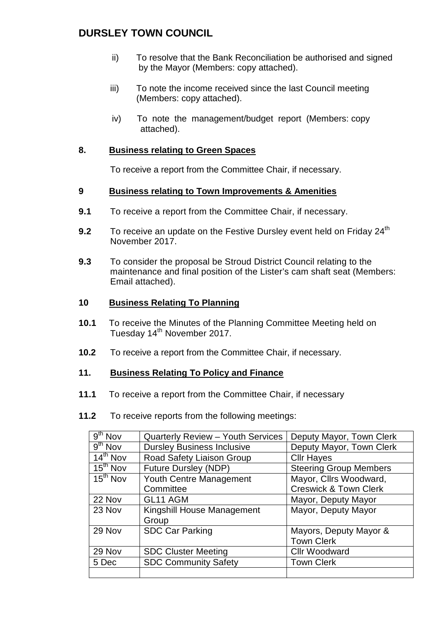# **DURSLEY TOWN COUNCIL**

- ii) To resolve that the Bank Reconciliation be authorised and signed by the Mayor (Members: copy attached).
- iii) To note the income received since the last Council meeting (Members: copy attached).
- iv) To note the management/budget report (Members: copy attached).

#### **8. Business relating to Green Spaces**

To receive a report from the Committee Chair, if necessary.

## **9 Business relating to Town Improvements & Amenities**

- **9.1** To receive a report from the Committee Chair, if necessary.
- **9.2** To receive an update on the Festive Dursley event held on Friday 24<sup>th</sup> November 2017.
- **9.3** To consider the proposal be Stroud District Council relating to the maintenance and final position of the Lister's cam shaft seat (Members: Email attached).

## **10 Business Relating To Planning**

- **10.1** To receive the Minutes of the Planning Committee Meeting held on Tuesday 14<sup>th</sup> November 2017.
- **10.2** To receive a report from the Committee Chair, if necessary.

#### **11. Business Relating To Policy and Finance**

- **11.1** To receive a report from the Committee Chair, if necessary
- **11.2** To receive reports from the following meetings:

| $\overline{9}^{\text{th}}$ Nov | Quarterly Review - Youth Services | Deputy Mayor, Town Clerk         |  |
|--------------------------------|-----------------------------------|----------------------------------|--|
| $9th$ Nov                      | <b>Dursley Business Inclusive</b> | Deputy Mayor, Town Clerk         |  |
| $14^{th}$ Nov                  | Road Safety Liaison Group         | <b>Cllr Hayes</b>                |  |
| $15th$ Nov                     | <b>Future Dursley (NDP)</b>       | <b>Steering Group Members</b>    |  |
| $15th$ Nov                     | Youth Centre Management           | Mayor, Cllrs Woodward,           |  |
|                                | Committee                         | <b>Creswick &amp; Town Clerk</b> |  |
| 22 Nov                         | GL11 AGM                          | Mayor, Deputy Mayor              |  |
| 23 Nov                         | Kingshill House Management        | Mayor, Deputy Mayor              |  |
|                                | Group                             |                                  |  |
| 29 Nov                         | <b>SDC Car Parking</b>            | Mayors, Deputy Mayor &           |  |
|                                |                                   | <b>Town Clerk</b>                |  |
| 29 Nov                         | <b>SDC Cluster Meeting</b>        | <b>Cllr Woodward</b>             |  |
| 5 Dec                          | <b>SDC Community Safety</b>       | <b>Town Clerk</b>                |  |
|                                |                                   |                                  |  |